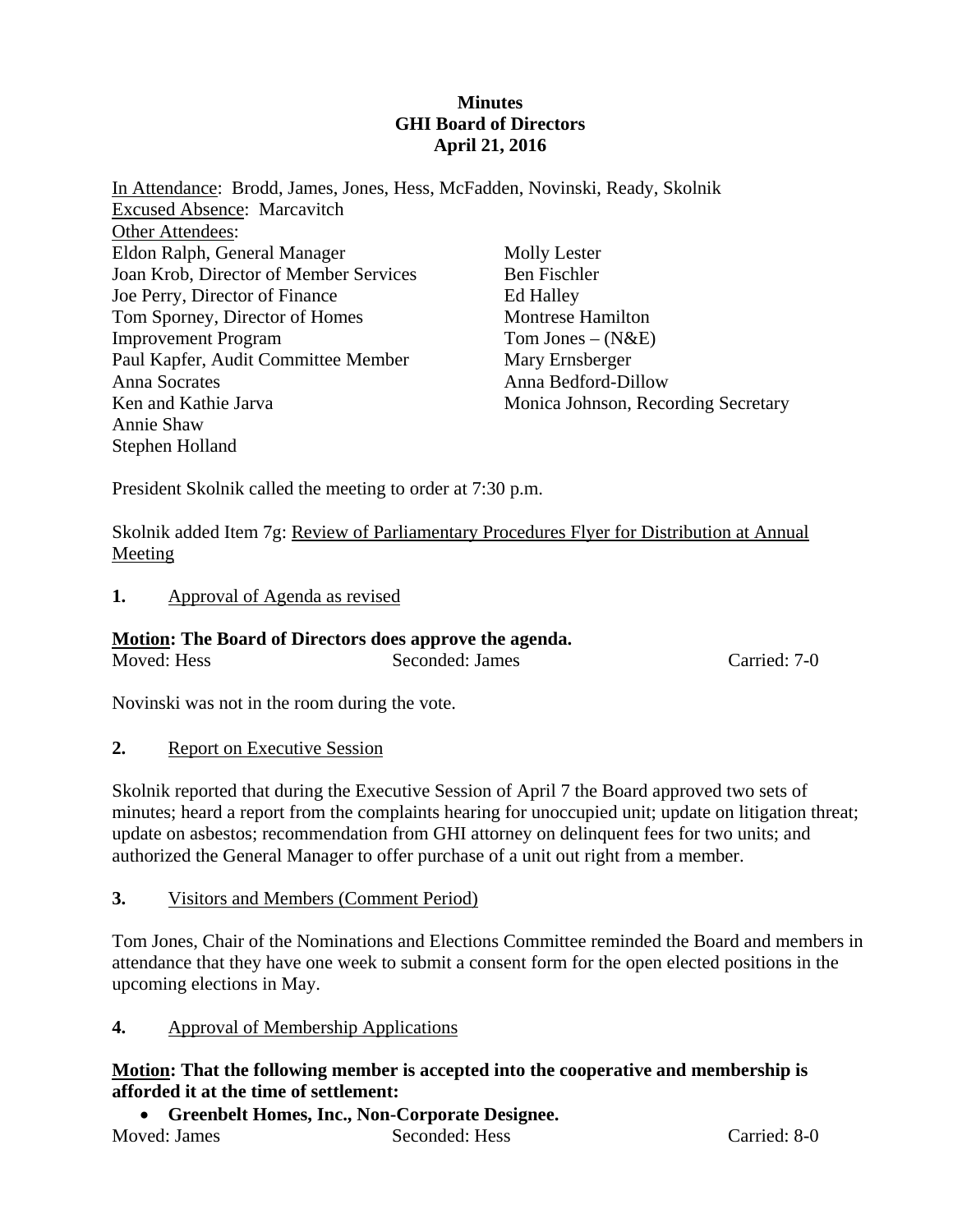#### **Minutes GHI Board of Directors April 21, 2016**

| In Attendance: Brodd, James, Jones, Hess, McFadden, Novinski, Ready, Skolnik |                                     |
|------------------------------------------------------------------------------|-------------------------------------|
| <b>Excused Absence: Marcavitch</b>                                           |                                     |
| Other Attendees:                                                             |                                     |
| Eldon Ralph, General Manager                                                 | <b>Molly Lester</b>                 |
| Joan Krob, Director of Member Services                                       | <b>Ben Fischler</b>                 |
| Joe Perry, Director of Finance                                               | Ed Halley                           |
| Tom Sporney, Director of Homes                                               | <b>Montrese Hamilton</b>            |
| <b>Improvement Program</b>                                                   | Tom Jones $-(N&E)$                  |
| Paul Kapfer, Audit Committee Member                                          | Mary Ernsberger                     |
| Anna Socrates                                                                | Anna Bedford-Dillow                 |
| Ken and Kathie Jarva                                                         | Monica Johnson, Recording Secretary |
| Annie Shaw                                                                   |                                     |
| Stephen Holland                                                              |                                     |

President Skolnik called the meeting to order at 7:30 p.m.

Skolnik added Item 7g: Review of Parliamentary Procedures Flyer for Distribution at Annual Meeting

**1.** Approval of Agenda as revised

#### **Motion: The Board of Directors does approve the agenda.**

Moved: Hess Seconded: James Carried: 7-0

Novinski was not in the room during the vote.

**2.** Report on Executive Session

Skolnik reported that during the Executive Session of April 7 the Board approved two sets of minutes; heard a report from the complaints hearing for unoccupied unit; update on litigation threat; update on asbestos; recommendation from GHI attorney on delinquent fees for two units; and authorized the General Manager to offer purchase of a unit out right from a member.

**3.** Visitors and Members (Comment Period)

Tom Jones, Chair of the Nominations and Elections Committee reminded the Board and members in attendance that they have one week to submit a consent form for the open elected positions in the upcoming elections in May.

**4.** Approval of Membership Applications

**Motion: That the following member is accepted into the cooperative and membership is afforded it at the time of settlement:** 

 **Greenbelt Homes, Inc., Non-Corporate Designee.**  Moved: James Seconded: Hess Carried: 8-0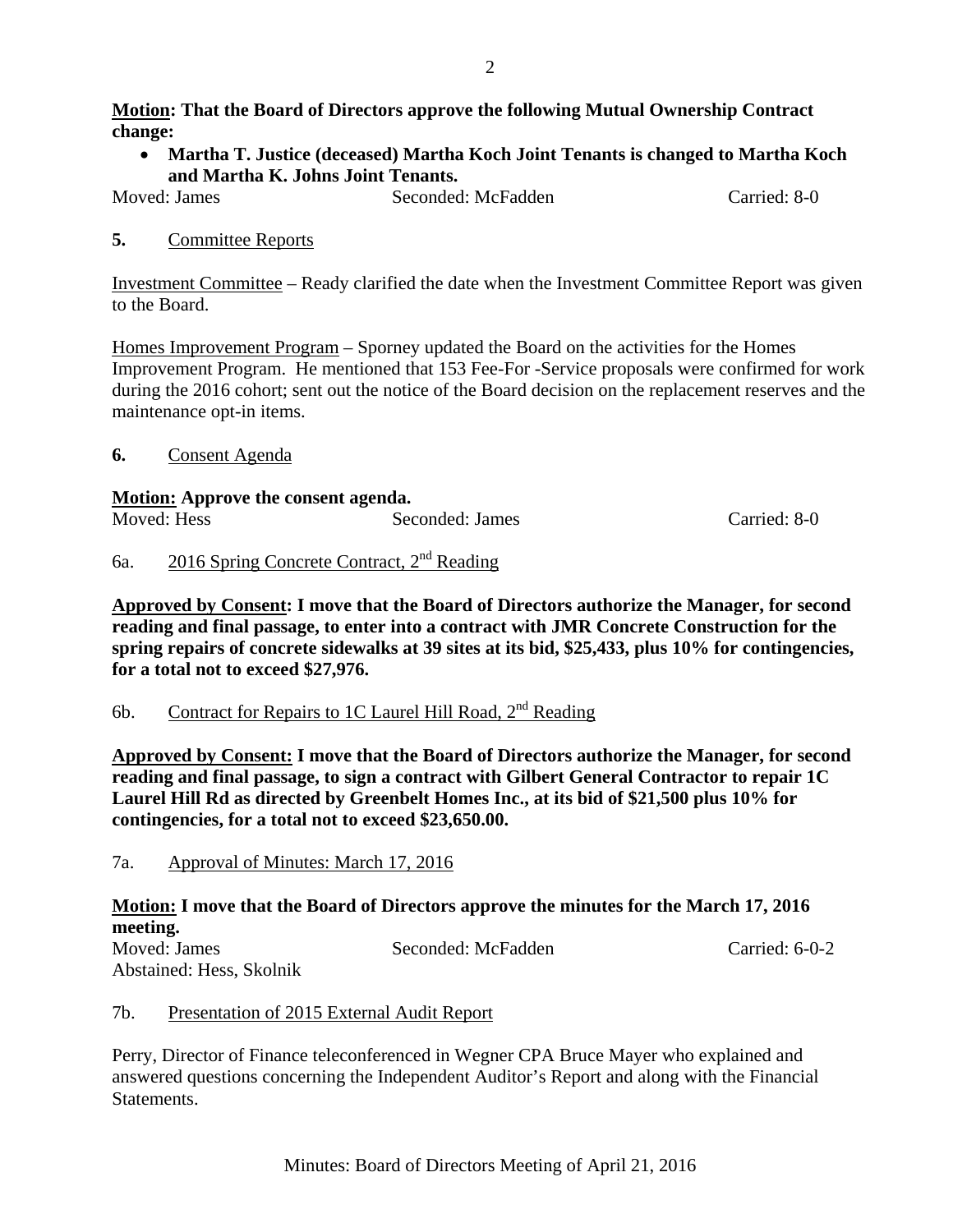#### **Motion: That the Board of Directors approve the following Mutual Ownership Contract change:**

 **Martha T. Justice (deceased) Martha Koch Joint Tenants is changed to Martha Koch and Martha K. Johns Joint Tenants.** 

Moved: James Seconded: McFadden Carried: 8-0

## **5.** Committee Reports

Investment Committee – Ready clarified the date when the Investment Committee Report was given to the Board.

Homes Improvement Program – Sporney updated the Board on the activities for the Homes Improvement Program. He mentioned that 153 Fee-For -Service proposals were confirmed for work during the 2016 cohort; sent out the notice of the Board decision on the replacement reserves and the maintenance opt-in items.

**6.** Consent Agenda

#### **Motion: Approve the consent agenda.**

| Moved: Hess | Seconded: James | Carried: 8-0 |
|-------------|-----------------|--------------|

## 6a. 2016 Spring Concrete Contract, 2nd Reading

**Approved by Consent: I move that the Board of Directors authorize the Manager, for second reading and final passage, to enter into a contract with JMR Concrete Construction for the spring repairs of concrete sidewalks at 39 sites at its bid, \$25,433, plus 10% for contingencies, for a total not to exceed \$27,976.** 

6b. Contract for Repairs to 1C Laurel Hill Road,  $2<sup>nd</sup>$  Reading

**Approved by Consent: I move that the Board of Directors authorize the Manager, for second reading and final passage, to sign a contract with Gilbert General Contractor to repair 1C Laurel Hill Rd as directed by Greenbelt Homes Inc., at its bid of \$21,500 plus 10% for contingencies, for a total not to exceed \$23,650.00.** 

7a. Approval of Minutes: March 17, 2016

# **Motion: I move that the Board of Directors approve the minutes for the March 17, 2016 meeting.**

| Moved: James             | Seconded: McFadden | Carried: $6-0-2$ |
|--------------------------|--------------------|------------------|
| Abstained: Hess, Skolnik |                    |                  |

# 7b. Presentation of 2015 External Audit Report

Perry, Director of Finance teleconferenced in Wegner CPA Bruce Mayer who explained and answered questions concerning the Independent Auditor's Report and along with the Financial Statements.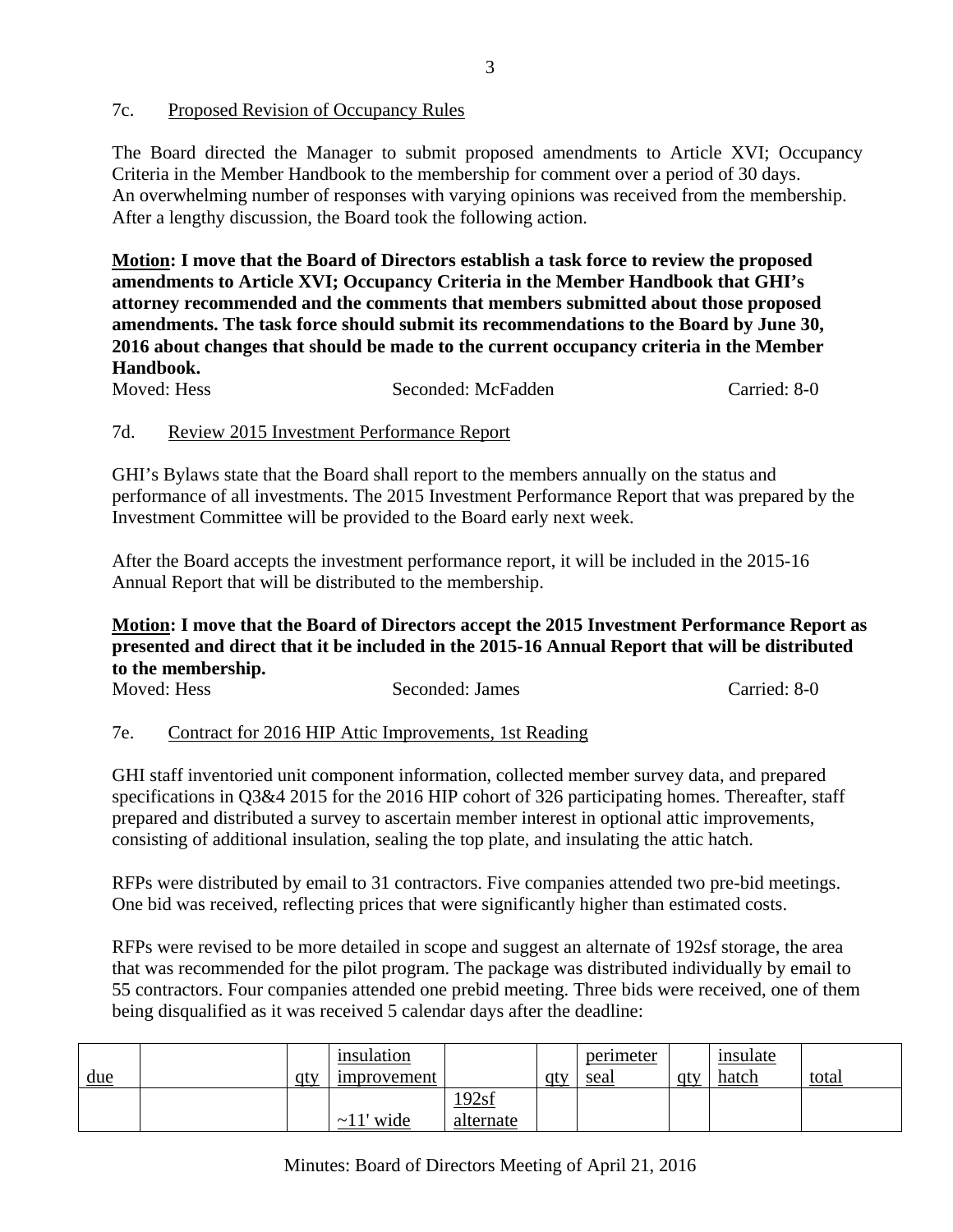## 7c. Proposed Revision of Occupancy Rules

The Board directed the Manager to submit proposed amendments to Article XVI; Occupancy Criteria in the Member Handbook to the membership for comment over a period of 30 days. An overwhelming number of responses with varying opinions was received from the membership. After a lengthy discussion, the Board took the following action.

**Motion: I move that the Board of Directors establish a task force to review the proposed amendments to Article XVI; Occupancy Criteria in the Member Handbook that GHI's attorney recommended and the comments that members submitted about those proposed amendments. The task force should submit its recommendations to the Board by June 30, 2016 about changes that should be made to the current occupancy criteria in the Member Handbook.** 

| Moved: Hess | Seconded: McFadden | Carried: 8-0 |
|-------------|--------------------|--------------|
|             |                    |              |

## 7d. Review 2015 Investment Performance Report

GHI's Bylaws state that the Board shall report to the members annually on the status and performance of all investments. The 2015 Investment Performance Report that was prepared by the Investment Committee will be provided to the Board early next week.

After the Board accepts the investment performance report, it will be included in the 2015-16 Annual Report that will be distributed to the membership.

#### **Motion: I move that the Board of Directors accept the 2015 Investment Performance Report as presented and direct that it be included in the 2015-16 Annual Report that will be distributed to the membership.**

| Moved: Hess | Seconded: James | Carried: 8-0 |
|-------------|-----------------|--------------|
|             |                 |              |

## 7e. Contract for 2016 HIP Attic Improvements, 1st Reading

GHI staff inventoried unit component information, collected member survey data, and prepared specifications in Q3&4 2015 for the 2016 HIP cohort of 326 participating homes. Thereafter, staff prepared and distributed a survey to ascertain member interest in optional attic improvements, consisting of additional insulation, sealing the top plate, and insulating the attic hatch.

RFPs were distributed by email to 31 contractors. Five companies attended two pre-bid meetings. One bid was received, reflecting prices that were significantly higher than estimated costs.

RFPs were revised to be more detailed in scope and suggest an alternate of 192sf storage, the area that was recommended for the pilot program. The package was distributed individually by email to 55 contractors. Four companies attended one prebid meeting. Three bids were received, one of them being disqualified as it was received 5 calendar days after the deadline:

| $\underline{\underline{\mathrm{due}}}$ | <u>qty</u> | insulation<br><i>improvement</i> |                    | -qtv | perimeter<br>seal | qtv | insulate<br><u>hatch</u> | <u>total</u> |
|----------------------------------------|------------|----------------------------------|--------------------|------|-------------------|-----|--------------------------|--------------|
|                                        |            | wide<br>$\sim$ 1 $\pm$           | 192sf<br>alternate |      |                   |     |                          |              |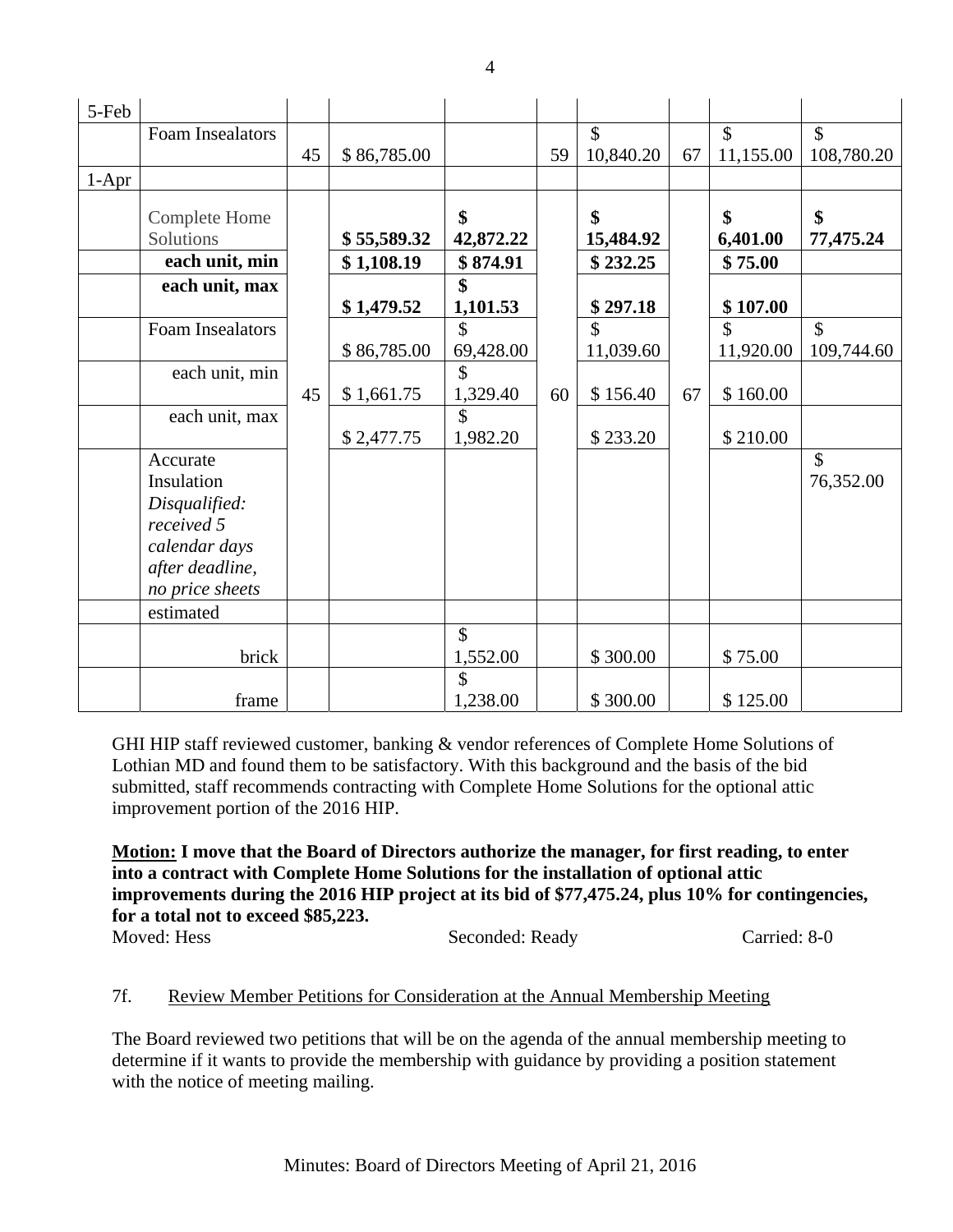| 5-Feb   |                                  |    |             |           |    |                    |    |               |               |
|---------|----------------------------------|----|-------------|-----------|----|--------------------|----|---------------|---------------|
|         | <b>Foam Insealators</b>          |    |             |           |    | $\mathbf{\hat{S}}$ |    | $\mathcal{S}$ | $\mathcal{S}$ |
|         |                                  | 45 | \$86,785.00 |           | 59 | 10,840.20          | 67 | 11,155.00     | 108,780.20    |
| $1-Apr$ |                                  |    |             |           |    |                    |    |               |               |
|         | <b>Complete Home</b>             |    |             | \$        |    | \$                 |    | \$            | \$            |
|         | Solutions                        |    | \$55,589.32 | 42,872.22 |    | 15,484.92          |    | 6,401.00      | 77,475.24     |
|         | each unit, min                   |    | \$1,108.19  | \$874.91  |    | \$232.25           |    | \$75.00       |               |
|         | each unit, max                   |    |             | \$        |    |                    |    |               |               |
|         |                                  |    | \$1,479.52  | 1,101.53  |    | \$297.18           |    | \$107.00      |               |
|         | <b>Foam Insealators</b>          |    |             | \$        |    | \$                 |    | \$            | \$            |
|         |                                  |    | \$86,785.00 | 69,428.00 |    | 11,039.60          |    | 11,920.00     | 109,744.60    |
|         | each unit, min                   |    |             | \$        |    |                    |    |               |               |
|         |                                  | 45 | \$1,661.75  | 1,329.40  | 60 | \$156.40           | 67 | \$160.00      |               |
|         | each unit, max                   |    |             | \$        |    |                    |    |               |               |
|         |                                  |    | \$2,477.75  | 1,982.20  |    | \$233.20           |    | \$210.00      |               |
|         | Accurate                         |    |             |           |    |                    |    |               | \$            |
|         | Insulation                       |    |             |           |    |                    |    |               | 76,352.00     |
|         | Disqualified:                    |    |             |           |    |                    |    |               |               |
|         | received 5                       |    |             |           |    |                    |    |               |               |
|         | calendar days<br>after deadline, |    |             |           |    |                    |    |               |               |
|         | no price sheets                  |    |             |           |    |                    |    |               |               |
|         | estimated                        |    |             |           |    |                    |    |               |               |
|         |                                  |    |             | \$        |    |                    |    |               |               |
|         | brick                            |    |             | 1,552.00  |    | \$300.00           |    | \$75.00       |               |
|         |                                  |    |             | \$        |    |                    |    |               |               |
|         | frame                            |    |             | 1,238.00  |    | \$300.00           |    | \$125.00      |               |

GHI HIP staff reviewed customer, banking & vendor references of Complete Home Solutions of Lothian MD and found them to be satisfactory. With this background and the basis of the bid submitted, staff recommends contracting with Complete Home Solutions for the optional attic improvement portion of the 2016 HIP.

**Motion: I move that the Board of Directors authorize the manager, for first reading, to enter into a contract with Complete Home Solutions for the installation of optional attic improvements during the 2016 HIP project at its bid of \$77,475.24, plus 10% for contingencies, for a total not to exceed \$85,223.** 

Moved: Hess Seconded: Ready Carried: 8-0

## 7f. Review Member Petitions for Consideration at the Annual Membership Meeting

The Board reviewed two petitions that will be on the agenda of the annual membership meeting to determine if it wants to provide the membership with guidance by providing a position statement with the notice of meeting mailing.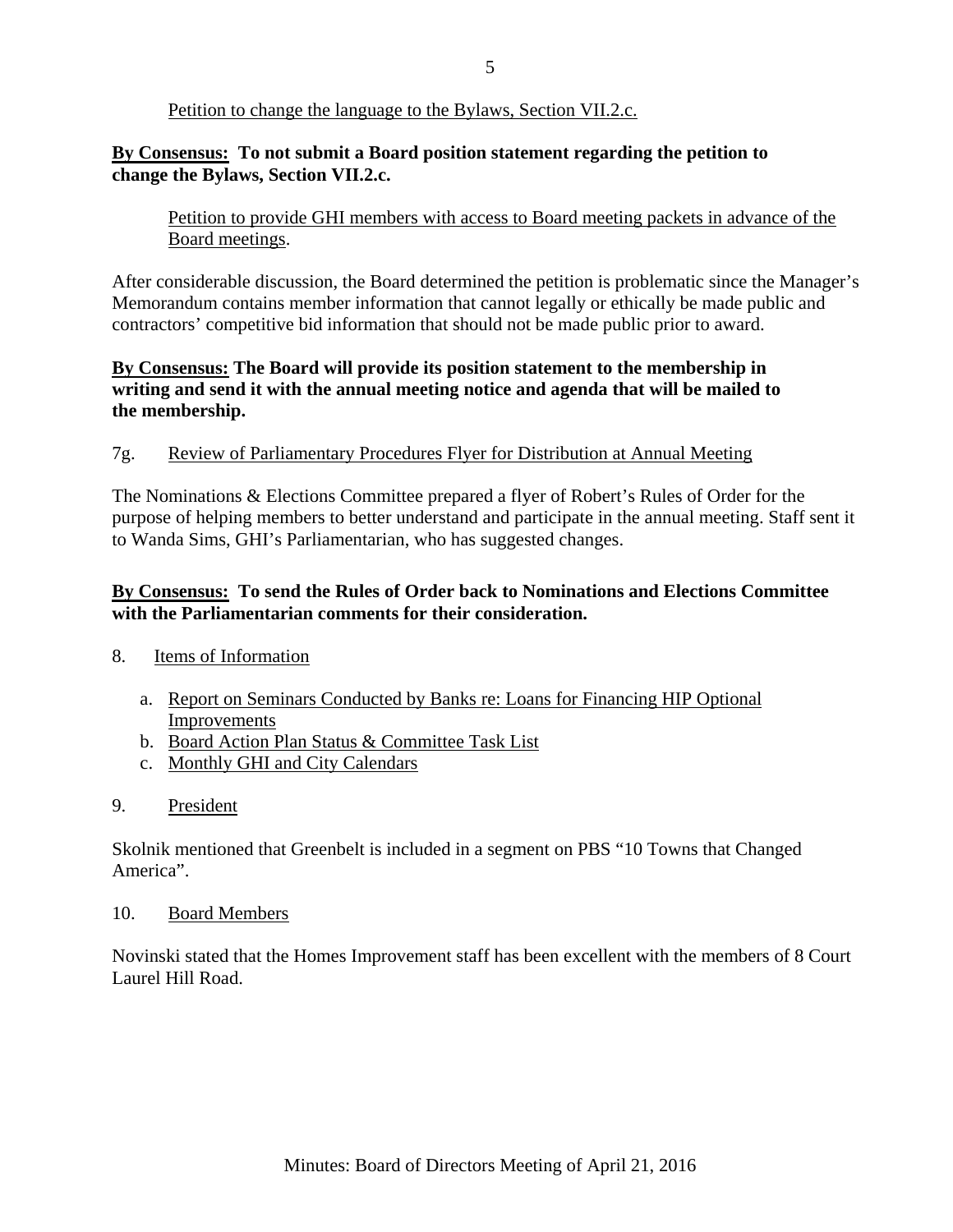#### Petition to change the language to the Bylaws, Section VII.2.c.

#### **By Consensus: To not submit a Board position statement regarding the petition to change the Bylaws, Section VII.2.c.**

#### Petition to provide GHI members with access to Board meeting packets in advance of the Board meetings.

After considerable discussion, the Board determined the petition is problematic since the Manager's Memorandum contains member information that cannot legally or ethically be made public and contractors' competitive bid information that should not be made public prior to award.

## **By Consensus: The Board will provide its position statement to the membership in writing and send it with the annual meeting notice and agenda that will be mailed to the membership.**

#### 7g. Review of Parliamentary Procedures Flyer for Distribution at Annual Meeting

The Nominations & Elections Committee prepared a flyer of Robert's Rules of Order for the purpose of helping members to better understand and participate in the annual meeting. Staff sent it to Wanda Sims, GHI's Parliamentarian, who has suggested changes.

#### **By Consensus: To send the Rules of Order back to Nominations and Elections Committee with the Parliamentarian comments for their consideration.**

- 8. Items of Information
	- a. Report on Seminars Conducted by Banks re: Loans for Financing HIP Optional Improvements
	- b. Board Action Plan Status & Committee Task List
	- c. Monthly GHI and City Calendars
- 9. President

Skolnik mentioned that Greenbelt is included in a segment on PBS "10 Towns that Changed America".

#### 10. Board Members

Novinski stated that the Homes Improvement staff has been excellent with the members of 8 Court Laurel Hill Road.